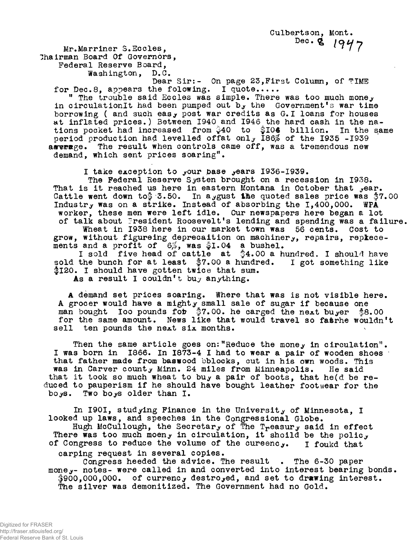**Mr.Marrine r S.Eccles , lhairman Board Of Governors,**  Federal Reserve Board,

**Washington, D.C .** 

**Dear Sir: - On page 23,Firs t Column, of TIME**  for Dec.8, appears the folowing. I quote.....

**1** The trouble said Eccles was simple. There was too much money in circulationIt had been pumped out by the Government's war time borrowing ( and such eas, post war credits as G. I loans for houses **a t inflate d prices. ) Between 1940 and 1946 the har d cash i n th e na tion s pocket had increased from \$40 t o flO € billion . I n th e same perio d productio n had levelle d offa t onl y 186^ of the 1935 -193 9**  aaverage. The result when controls came off, was a tremendous new demand, which sent prices soaring".

I take exception to your base years 1936-1939.

**The Federa l Reserve Systen brought on a recessio n i n 1938.**  That is it reached us here in eastern Montana in October that year. **Cattle went down to**  $\frac{4}{9}$  3.50. In a ygust the quoted sales price was  $\frac{4}{9}7.00$ Industr<sub>y</sub> was on a strike. Instead of absorbing the 1,400,000. WPA worker, these men were left idle. Our newspapers here began a lot of talk about President Roosevelt's lending and spending was a failure. **Wheat in 1938 here in our market town was 56 cents. Cost to grow, withou t figureih g deprecaltio n on machinery , repairs , repkece**  ments and a profit of  $6\%$ , was  $\frac{5}{9}I.04$  a bushel.

**I** sold five head of cattle at \$4.00 a hundred. I should have sold the bunch for at least \$7.00 a hundred. I got something like \$120. I should have gotten twice that sum.

As a result I couldn't buy anything.

**A demand se t price s soaring . Where tha t was i s not visibl e here . A groce r would have a might y smal l sal e o f sugar i f because one**  man bought loo pounds for \$7.00. he carged the next buyer \$8.00 for the same amount. News like that would travel so fasrhe wouldn't sell ten pounds the next six months.

Then the same article goes on: "Reduce the money in circulation". **I** was born in 1866. In 1873-4 I had to wear a pair of wooden shoes that father made from baswood bblocks, cut in his own woods. This **was in Carver county Minn. 24 miles from Minneapolis.** He said that it took so much wheat to buy a pair of boots, that he(d be reduced to pauperism if he should have bought leather footwear for the boys. Two boys older than I.

**I n 1901 , studyin g Finance i n the Universit y of Minnesota , I looked up laws , and speeches i n th e Congressiona l Globe .**  Hugh McCullough, the Secretary of The T<sub>r</sub>easur<sub>y</sub> said in effect There was too much moeny in circulation, it shoild be the polic<sub>y</sub> of Congress to reduce the volume of the cureenc<sub>y</sub>. I foukd that

**carpin g reques t i n severa l copies .** 

Congress heeded the advice. The result . The 6-30 paper money- notes- were called in and converted into interest bearing bonds. **\$900,000,000 . o f currenc y destroyed , and se t t o drawing interest . The silve r was demonitized . The Government had no Gold.**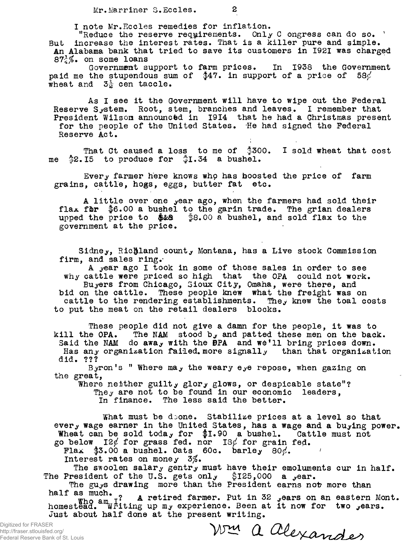I note Mr. Eccles remedies for inflation.

**"Reduce the reserve requirements.** Only C ongress can do so. ' But increase the interest rates. That is a killer pure and simple. An Alabama bank that tried to save its customers in 1921 was charged **87-f^. on some loans** 

Government support to farm prices. In 1938 the Government paid me the stupendous sum of \$47. in support of a price of 58 $\phi$ **wheat and 3 | cen taccle .** 

As I see it the Government will have to wipe out the Federal **Reserve System.** Root, stem, branches and leaves. I remember that **President Wilsom announctd in 1914 that he had a Christmas present** for the people of the United States. He had signed the Federal **Reserve Act .** 

**That Ct caused a loss to me of \$300. I sold wheat that cost me**  $$2.15$  to produce for  $$1.34$  a bushel.

**Ever y farme r her e knows who has boosted the pric e of farm**  grains, cattle, hogs, eggs, butter fat etc.

A little over one year ago, when the farmers had sold their flax for \$6.00 a bushel to the garin trade. The grian dealers **upped the price to \$2ca** \$8.00 a bushel, and sold flax to the government at the price.

**Sidney , Richlan d county Montana, has a Liv e stoc k Commission**  firm, and sales ring.

**A year ago I took i n some of thos e sale s i n orde r t o see**  why cattle were priced so high that the OPA could not work. **Buyers from Chicago, Sioux City , Omaha, were there , and b i d on the cattle . These people knew what th e freigh t was on cattle to the rendering establishments.** They knew the toal costs **t o put the meat on the retai l dealer s blocks .** 

These people did not give a damn for the people, it was to kill the OPA. The NAM stood b<sub>y</sub> and patted these men on the back. Said the NAM do awa, with the **BPA** and we'll bring prices down. **Has any organization failed, more signally** than that organization **did . ???** 

Byron's "Where may the weary eye repose, when gazing on the great,

Where neither guilt, glor, glows, or despicable state"? They are not to be found in our economic leaders, In finance. The less said the better.

**What must be doone.** Stabilize prices at a level so that ever, wage earner in the United States, has a wage and a bu<sub>y</sub>ing power. **Wheat can be sold today for \$1.90 a bushel.** Cattle must not go below  $12\ell$  for grass fed. nor  $18\ell$  for grain fed.

**Flax**  $$3.00$  **a** bushel. Oats  $60c$ . barley  $80\%$ .

**Interest rates on money 3%.** 

**The sioole n salar y gentr y must have thei r emoluments cur i n half . The President of the U.S. gets only \$125,000 a year.** 

The gu<sub>y</sub>s drawing more than the President earns not more than **hal f as much** 

Who am<sub>u</sub> I<sup>?</sup> A retired farmer. Put in 32 years on an eastern Mont. **homesteaa. writin g up my experience . Been a t i t now fo r two ^ears .** 

Digitized for FRASER http://fraser.stlouisfed.org/ Federal Reserve Bank of St. Louis

Just about half done at the present writing.<br>
FR<br> **FACTION**